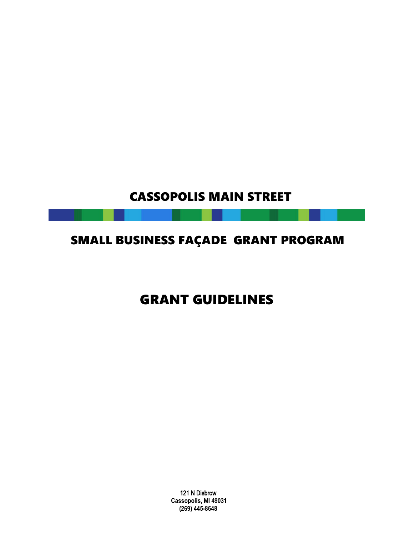# CASSOPOLIS MAIN STREET

# SMALL BUSINESS FAÇADE GRANT PROGRAM

# GRANT GUIDELINES

121 N Disbrow **Cassopolis, MI 49031 (269) 445-8648**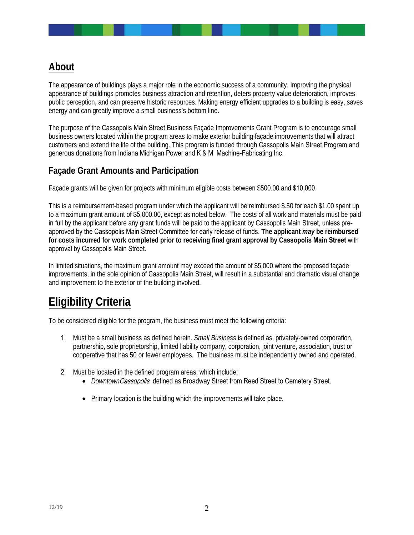### **About**

The appearance of buildings plays a major role in the economic success of a community. Improving the physical appearance of buildings promotes business attraction and retention, deters property value deterioration, improves public perception, and can preserve historic resources. Making energy efficient upgrades to a building is easy, saves energy and can greatly improve a small business's bottom line.

The purpose of the Cassopolis Main Street Business Façade Improvements Grant Program is to encourage small business owners located within the program areas to make exterior building façade improvements that will attract customers and extend the life of the building. This program is funded through Cassopolis Main Street Program and generous donations from Indiana Michigan Power and K & M Machine-Fabricating Inc.

#### **Façade Grant Amounts and Participation**

Façade grants will be given for projects with minimum eligible costs between \$500.00 and \$10,000.

This is a reimbursement-based program under which the applicant will be reimbursed \$.50 for each \$1.00 spent up to a maximum grant amount of \$5,000.00, except as noted below. The costs of all work and materials must be paid in full by the applicant before any grant funds will be paid to the applicant by Cassopolis Main Street, unless preapproved by the Cassopolis Main Street Committee for early release of funds. **The applicant** *may* **be reimbursed for costs incurred for work completed prior to receiving final grant approval by Cassopolis Main Street** with approval by Cassopolis Main Street.

In limited situations, the maximum grant amount may exceed the amount of \$5,000 where the proposed façade improvements, in the sole opinion of Cassopolis Main Street, will result in a substantial and dramatic visual change and improvement to the exterior of the building involved.

## **Eligibility Criteria**

To be considered eligible for the program, the business must meet the following criteria:

- 1. Must be a small business as defined herein. *Small Business* is defined as, privately-owned corporation, partnership, sole proprietorship, limited liability company, corporation, joint venture, association, trust or cooperative that has 50 or fewer employees. The business must be independently owned and operated.
- 2. Must be located in the defined program areas, which include:
	- *Downtown Cassopolis* defined as Broadway Street from Reed Street to Cemetery Street.
	- Primary location is the building which the improvements will take place.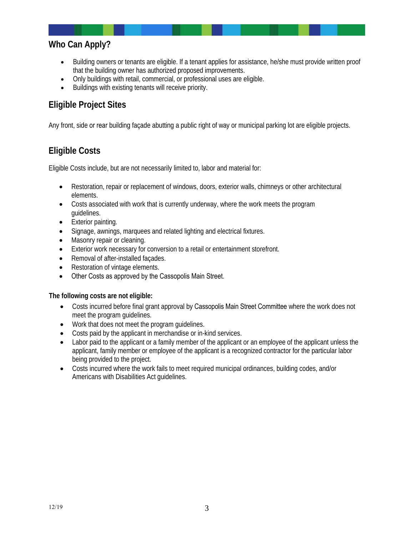### **Who Can Apply?**

- Building owners or tenants are eligible. If a tenant applies for assistance, he/she must provide written proof that the building owner has authorized proposed improvements.
- Only buildings with retail, commercial, or professional uses are eligible.
- Buildings with existing tenants will receive priority.

### **Eligible Project Sites**

Any front, side or rear building façade abutting a public right of way or municipal parking lot are eligible projects.

### **Eligible Costs**

Eligible Costs include, but are not necessarily limited to, labor and material for:

- Restoration, repair or replacement of windows, doors, exterior walls, chimneys or other architectural elements.
- Costs associated with work that is currently underway, where the work meets the program guidelines.
- Exterior painting.
- Signage, awnings, marquees and related lighting and electrical fixtures.
- Masonry repair or cleaning.
- Exterior work necessary for conversion to a retail or entertainment storefront.
- Removal of after-installed façades.
- Restoration of vintage elements.
- Other Costs as approved by the Cassopolis Main Street.

#### **The following costs are not eligible:**

- Costs incurred before final grant approval by Cassopolis Main Street Committee where the work does not meet the program guidelines.
- Work that does not meet the program guidelines.
- Costs paid by the applicant in merchandise or in-kind services.
- Labor paid to the applicant or a family member of the applicant or an employee of the applicant unless the applicant, family member or employee of the applicant is a recognized contractor for the particular labor being provided to the project.
- Costs incurred where the work fails to meet required municipal ordinances, building codes, and/or Americans with Disabilities Act guidelines.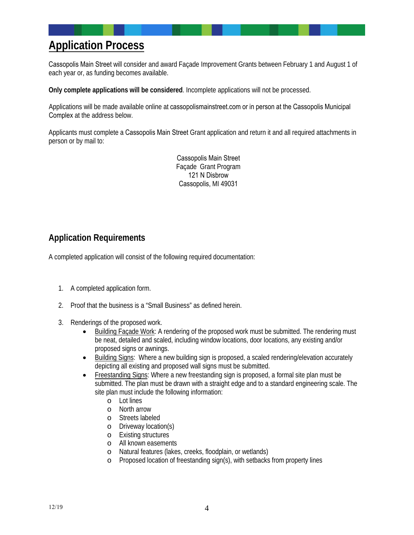## **Application Process**

Cassopolis Main Street will consider and award Façade Improvement Grants between February 1 and August 1 of each year or, as funding becomes available.

**Only complete applications will be considered**. Incomplete applications will not be processed.

Applications will be made available online at cassopolismainstreet.com or in person at the Cassopolis Municipal Complex at the address below.

Applicants must complete a Cassopolis Main Street Grant application and return it and all required attachments in person or by mail to:

> Cassopolis Main Street Façade Grant Program 121 N Disbrow Cassopolis, MI 49031

#### **Application Requirements**

A completed application will consist of the following required documentation:

- 1. A completed application form.
- 2. Proof that the business is a "Small Business" as defined herein.
- 3. Renderings of the proposed work.
	- Building Façade Work: A rendering of the proposed work must be submitted. The rendering must be neat, detailed and scaled, including window locations, door locations, any existing and/or proposed signs or awnings.
	- Building Signs: Where a new building sign is proposed, a scaled rendering/elevation accurately depicting all existing and proposed wall signs must be submitted.
	- Freestanding Signs: Where a new freestanding sign is proposed, a formal site plan must be submitted. The plan must be drawn with a straight edge and to a standard engineering scale. The site plan must include the following information:
		- o Lot lines
		- o North arrow
		- o Streets labeled
		- o Driveway location(s)
		- **Existing structures**
		- o All known easements
		- Natural features (lakes, creeks, floodplain, or wetlands)
		- o Proposed location of freestanding sign(s), with setbacks from property lines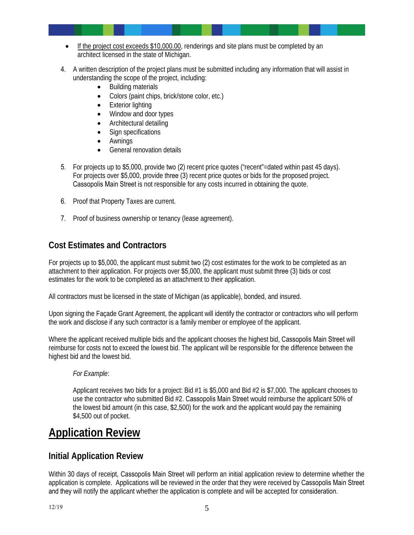- If the project cost exceeds \$10,000.00, renderings and site plans must be completed by an architect licensed in the state of Michigan.
- 4. A written description of the project plans must be submitted including any information that will assist in understanding the scope of the project, including:
	- Building materials
	- Colors (paint chips, brick/stone color, etc.)
	- Exterior lighting
	- Window and door types
	- Architectural detailing
	- Sign specifications
	- Awnings
	- General renovation details
- 5. For projects up to \$5,000, provide two (2) recent price quotes ("recent"=dated within past 45 days). For projects over \$5,000, provide three (3) recent price quotes or bids for the proposed project. Cassopolis Main Street is not responsible for any costs incurred in obtaining the quote.
- 6. Proof that Property Taxes are current.
- 7. Proof of business ownership or tenancy (lease agreement).

### **Cost Estimates and Contractors**

For projects up to \$5,000, the applicant must submit two (2) cost estimates for the work to be completed as an attachment to their application. For projects over \$5,000, the applicant must submit three (3) bids or cost estimates for the work to be completed as an attachment to their application.

All contractors must be licensed in the state of Michigan (as applicable), bonded, and insured.

Upon signing the Facade Grant Agreement, the applicant will identify the contractor or contractors who will perform the work and disclose if any such contractor is a family member or employee of the applicant.

Where the applicant received multiple bids and the applicant chooses the highest bid, Cassopolis Main Street will reimburse for costs not to exceed the lowest bid. The applicant will be responsible for the difference between the highest bid and the lowest bid.

#### *For Example*:

Applicant receives two bids for a project: Bid #1 is \$5,000 and Bid #2 is \$7,000. The applicant chooses to use the contractor who submitted Bid #2. Cassopolis Main Street would reimburse the applicant 50% of the lowest bid amount (in this case, \$2,500) for the work and the applicant would pay the remaining \$4,500 out of pocket.

## **Application Review**

#### **Initial Application Review**

Within 30 days of receipt, Cassopolis Main Street will perform an initial application review to determine whether the application is complete. Applications will be reviewed in the order that they were received by Cassopolis Main Street and they will notify the applicant whether the application is complete and will be accepted for consideration.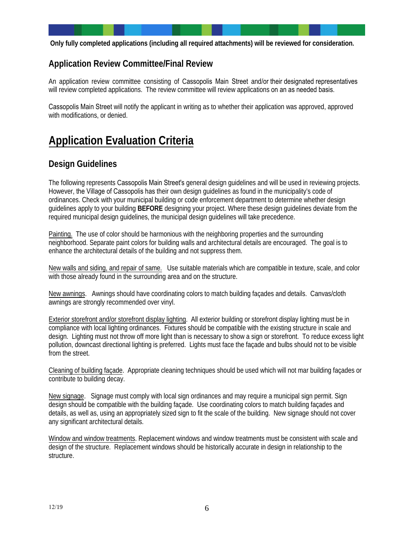**Only fully completed applications (including all required attachments) will be reviewed for consideration.**

#### **Application Review Committee/Final Review**

An application review committee consisting of Cassopolis Main Street and/or their designated representatives will review completed applications. The review committee will review applications on an as needed basis.

Cassopolis Main Street will notify the applicant in writing as to whether their application was approved, approved with modifications, or denied.

# **Application Evaluation Criteria**

#### **Design Guidelines**

The following represents Cassopolis Main Street's general design guidelines and will be used in reviewing projects. However, the Village of Cassopolis has their own design guidelines as found in the municipality's code of ordinances. Check with your municipal building or code enforcement department to determine whether design guidelines apply to your building **BEFORE** designing your project. Where these design guidelines deviate from the required municipal design guidelines, the municipal design guidelines will take precedence.

Painting. The use of color should be harmonious with the neighboring properties and the surrounding neighborhood. Separate paint colors for building walls and architectural details are encouraged. The goal is to enhance the architectural details of the building and not suppress them.

New walls and siding, and repair of same. Use suitable materials which are compatible in texture, scale, and color with those already found in the surrounding area and on the structure.

New awnings. Awnings should have coordinating colors to match building façades and details. Canvas/cloth awnings are strongly recommended over vinyl.

Exterior storefront and/or storefront display lighting. All exterior building or storefront display lighting must be in compliance with local lighting ordinances. Fixtures should be compatible with the existing structure in scale and design. Lighting must not throw off more light than is necessary to show a sign or storefront. To reduce excess light pollution, downcast directional lighting is preferred. Lights must face the façade and bulbs should not to be visible from the street.

Cleaning of building façade. Appropriate cleaning techniques should be used which will not mar building façades or contribute to building decay.

New signage. Signage must comply with local sign ordinances and may require a municipal sign permit. Sign design should be compatible with the building façade. Use coordinating colors to match building façades and details, as well as, using an appropriately sized sign to fit the scale of the building. New signage should not cover any significant architectural details.

Window and window treatments. Replacement windows and window treatments must be consistent with scale and design of the structure. Replacement windows should be historically accurate in design in relationship to the structure.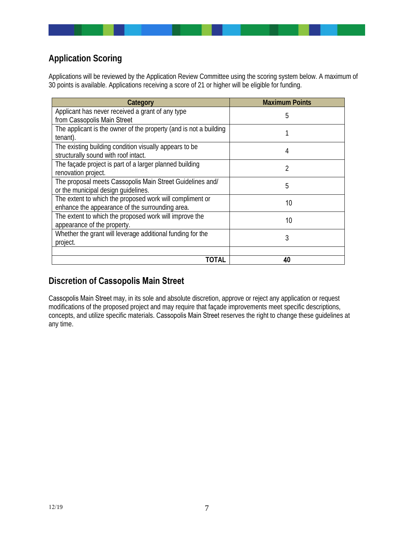### **Application Scoring**

Applications will be reviewed by the Application Review Committee using the scoring system below. A maximum of 30 points is available. Applications receiving a score of 21 or higher will be eligible for funding.

| Category                                                                                                    | <b>Maximum Points</b> |
|-------------------------------------------------------------------------------------------------------------|-----------------------|
| Applicant has never received a grant of any type<br>from Cassopolis Main Street                             | 5                     |
| The applicant is the owner of the property (and is not a building<br>tenant).                               |                       |
| The existing building condition visually appears to be.<br>structurally sound with roof intact.             | 4                     |
| The façade project is part of a larger planned building<br>renovation project.                              | 2                     |
| The proposal meets Cassopolis Main Street Guidelines and/<br>or the municipal design quidelines.            | 5                     |
| The extent to which the proposed work will compliment or<br>enhance the appearance of the surrounding area. | 10                    |
| The extent to which the proposed work will improve the<br>appearance of the property.                       | 10                    |
| Whether the grant will leverage additional funding for the<br>project.                                      | 3                     |
| TOTAL                                                                                                       | 40                    |

### **Discretion of Cassopolis Main Street**

Cassopolis Main Street may, in its sole and absolute discretion, approve or reject any application or request modifications of the proposed project and may require that façade improvements meet specific descriptions, concepts, and utilize specific materials. Cassopolis Main Street reserves the right to change these guidelines at any time.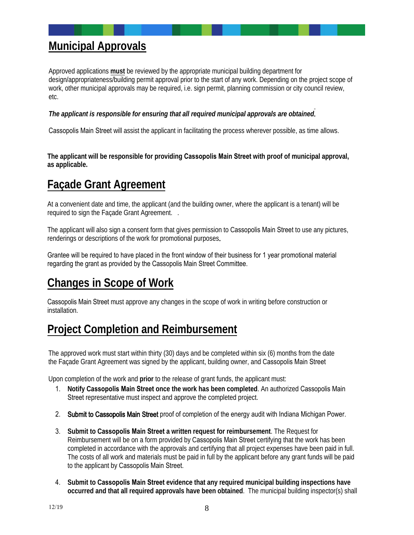## **Municipal Approvals**

Approved applications **must** be reviewed by the appropriate municipal building department for design/appropriateness/building permit approval prior to the start of any work. Depending on the project scope of work, other municipal approvals may be required, i.e. sign permit, planning commission or city council review, etc.

*The applicant is responsible for ensuring that all required municipal approvals are obtained*.

Cassopolis Main Street will assist the applicant in facilitating the process wherever possible, as time allows.

**The applicant will be responsible for providing Cassopolis Main Street with proof of municipal approval, as applicable.** 

## **Façade Grant Agreement**

At a convenient date and time, the applicant (and the building owner, where the applicant is a tenant) will be required to sign the Façade Grant Agreement. .

The applicant will also sign a consent form that gives permission to Cassopolis Main Street to use any pictures, renderings or descriptions of the work for promotional purposes.

Grantee will be required to have placed in the front window of their business for 1 year promotional material regarding the grant as provided by the Cassopolis Main Street Committee.

# **Changes in Scope of Work**

Cassopolis Main Street must approve any changes in the scope of work in writing before construction or installation.

## **Project Completion and Reimbursement**

The approved work must start within thirty (30) days and be completed within six (6) months from the date the Façade Grant Agreement was signed by the applicant, building owner, and Cassopolis Main Street

Upon completion of the work and **prior** to the release of grant funds, the applicant must:

- 1. **Notify Cassopolis Main Street once the work has been completed**. An authorized Cassopolis Main Street representative must inspect and approve the completed project.
- 2. Submit to Cassopolis Main Street proof of completion of the energy audit with Indiana Michigan Power.
- 3. **Submit to Cassopolis Main Street a written request for reimbursement**. The Request for Reimbursement will be on a form provided by Cassopolis Main Street certifying that the work has been completed in accordance with the approvals and certifying that all project expenses have been paid in full. The costs of all work and materials must be paid in full by the applicant before any grant funds will be paid to the applicant by Cassopolis Main Street.
- 4. **Submit to Cassopolis Main Street evidence that any required municipal building inspections have occurred and that all required approvals have been obtained**. The municipal building inspector(s) shall